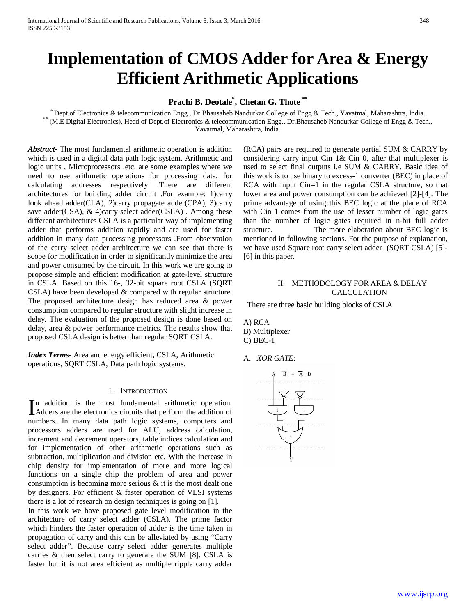# **Implementation of CMOS Adder for Area & Energy Efficient Arithmetic Applications**

# **Prachi B. Deotale\* , Chetan G. Thote \*\***

\* Dept.of Electronics & telecommunication Engg., Dr.Bhausaheb Nandurkar College of Engg & Tech., Yavatmal, Maharashtra, India.<br>\*\* (M.E Digital Electronics), Head of Dept.of Electronics & telecommunication Engg., Dr.Bhausah Yavatmal, Maharashtra, India.

*Abstract***-** The most fundamental arithmetic operation is addition which is used in a digital data path logic system. Arithmetic and logic units , Microprocessors ,etc. are some examples where we need to use arithmetic operations for processing data, for calculating addresses respectively .There are different architectures for building adder circuit .For example: 1)carry look ahead adder(CLA), 2)carry propagate adder(CPA), 3)carry save adder(CSA), & 4)carry select adder(CSLA). Among these different architectures CSLA is a particular way of implementing adder that performs addition rapidly and are used for faster addition in many data processing processors .From observation of the carry select adder architecture we can see that there is scope for modification in order to significantly minimize the area and power consumed by the circuit. In this work we are going to propose simple and efficient modification at gate-level structure in CSLA. Based on this 16-, 32-bit square root CSLA (SQRT CSLA) have been developed & compared with regular structure. The proposed architecture design has reduced area & power consumption compared to regular structure with slight increase in delay. The evaluation of the proposed design is done based on delay, area & power performance metrics. The results show that proposed CSLA design is better than regular SQRT CSLA.

*Index Terms*- Area and energy efficient, CSLA, Arithmetic operations, SQRT CSLA, Data path logic systems.

#### I. INTRODUCTION

n addition is the most fundamental arithmetic operation. In addition is the most fundamental arithmetic operation.<br>Adders are the electronics circuits that perform the addition of numbers. In many data path logic systems, computers and processors adders are used for ALU, address calculation, increment and decrement operators, table indices calculation and for implementation of other arithmetic operations such as subtraction, multiplication and division etc. With the increase in chip density for implementation of more and more logical functions on a single chip the problem of area and power consumption is becoming more serious & it is the most dealt one by designers. For efficient & faster operation of VLSI systems there is a lot of research on design techniques is going on [1].

In this work we have proposed gate level modification in the architecture of carry select adder (CSLA). The prime factor which hinders the faster operation of adder is the time taken in propagation of carry and this can be alleviated by using "Carry select adder". Because carry select adder generates multiple carries & then select carry to generate the SUM [8]. CSLA is faster but it is not area efficient as multiple ripple carry adder (RCA) pairs are required to generate partial SUM & CARRY by considering carry input Cin 1& Cin 0, after that multiplexer is used to select final outputs i.e SUM & CARRY. Basic idea of this work is to use binary to excess-1 converter (BEC) in place of RCA with input Cin=1 in the regular CSLA structure, so that lower area and power consumption can be achieved [2]-[4]. The prime advantage of using this BEC logic at the place of RCA with Cin 1 comes from the use of lesser number of logic gates than the number of logic gates required in n-bit full adder structure. The more elaboration about BEC logic is mentioned in following sections. For the purpose of explanation, we have used Square root carry select adder (SQRT CSLA) [5]- [6] in this paper.

### II. METHODOLOGY FOR AREA & DELAY CALCULATION

There are three basic building blocks of CSLA

# A) RCA B) Multiplexer C) BEC-1

A. *XOR GATE:*

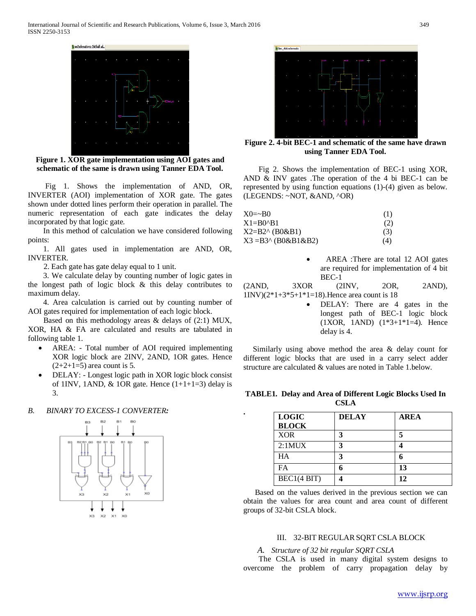

**Figure 1. XOR gate implementation using AOI gates and schematic of the same is drawn using Tanner EDA Tool.**

 Fig 1. Shows the implementation of AND, OR, INVERTER (AOI) implementation of XOR gate. The gates shown under dotted lines perform their operation in parallel. The numeric representation of each gate indicates the delay incorporated by that logic gate.

 In this method of calculation we have considered following points:

 1. All gates used in implementation are AND, OR, INVERTER.

2. Each gate has gate delay equal to 1 unit.

 3. We calculate delay by counting number of logic gates in the longest path of logic block & this delay contributes to maximum delay.

 4. Area calculation is carried out by counting number of AOI gates required for implementation of each logic block.

Based on this methodology areas  $&$  delays of (2:1) MUX, XOR, HA & FA are calculated and results are tabulated in following table 1.

- AREA: Total number of AOI required implementing XOR logic block are 2INV, 2AND, 1OR gates. Hence  $(2+2+1=5)$  area count is 5.
- DELAY: Longest logic path in XOR logic block consist of 1INV, 1AND,  $&$  1OR gate. Hence (1+1+1=3) delay is 3.

# *B. BINARY TO EXCESS-1 CONVERTER:*





**Figure 2. 4-bit BEC-1 and schematic of the same have drawn using Tanner EDA Tool.**

 Fig 2. Shows the implementation of BEC-1 using XOR, AND & INV gates .The operation of the 4 bi BEC-1 can be represented by using function equations (1)-(4) given as below. (LEGENDS: ~NOT, &AND, ^OR)

| $X0 = \sim B0$      | (1) |
|---------------------|-----|
| $X1 = B0^{\circ}B1$ | (2) |
| X2=B2^ (B0&B1)      | (3) |
| X3 =B3^ (B0&B1&B2)  | (4) |

AREA :There are total 12 AOI gates are required for implementation of 4 bit BEC-1

| (2AND, | 3XOR | (2INV,                                          | 20R. | 2AND). |
|--------|------|-------------------------------------------------|------|--------|
|        |      | $1INV(2*1+3*5+1*1=18)$ . Hence area count is 18 |      |        |

DELAY: There are 4 gates in the longest path of BEC-1 logic block (1XOR, 1AND) (1\*3+1\*1=4). Hence delay is 4.

 Similarly using above method the area & delay count for different logic blocks that are used in a carry select adder structure are calculated & values are noted in Table 1.below.

**TABLE1. Delay and Area of Different Logic Blocks Used In CSLA**

**.**

| <b>LOGIC</b><br><b>BLOCK</b> | <b>DELAY</b> | <b>AREA</b> |
|------------------------------|--------------|-------------|
| <b>XOR</b>                   |              |             |
| 2:1MUX                       | 2            |             |
| <b>HA</b>                    |              |             |
| FA                           |              | 13          |
| BEC1(4 BIT)                  |              |             |

 Based on the values derived in the previous section we can obtain the values for area count and area count of different groups of 32-bit CSLA block.

#### III. 32-BIT REGULAR SQRT CSLA BLOCK

# *A. Structure of 32 bit regular SQRT CSLA*

 The CSLA is used in many digital system designs to overcome the problem of carry propagation delay by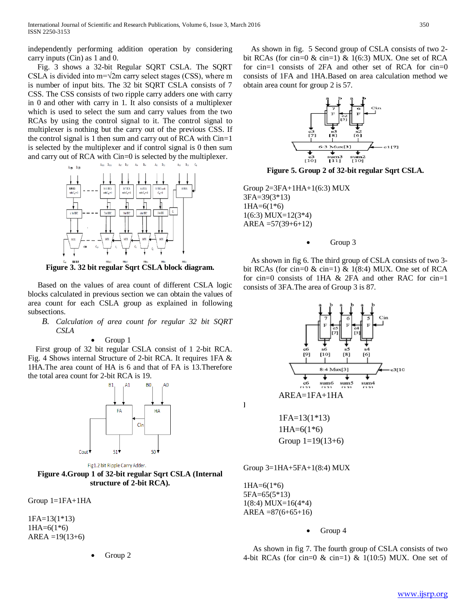independently performing addition operation by considering carry inputs (Cin) as 1 and 0.

 Fig. 3 shows a 32-bit Regular SQRT CSLA. The SQRT CSLA is divided into  $m=\sqrt{2m}$  carry select stages (CSS), where m is number of input bits. The 32 bit SQRT CSLA consists of 7 CSS. The CSS consists of two ripple carry adders one with carry in 0 and other with carry in 1. It also consists of a multiplexer which is used to select the sum and carry values from the two RCAs by using the control signal to it. The control signal to multiplexer is nothing but the carry out of the previous CSS. If the control signal is 1 then sum and carry out of RCA with Cin=1 is selected by the multiplexer and if control signal is 0 then sum and carry out of RCA with Cin=0 is selected by the multiplexer.



**Figure 3. 32 bit regular Sqrt CSLA block diagram.**

 Based on the values of area count of different CSLA logic blocks calculated in previous section we can obtain the values of area count for each CSLA group as explained in following subsections.

- *B. Calculation of area count for regular 32 bit SQRT CSLA*
	- Group 1

 First group of 32 bit regular CSLA consist of 1 2-bit RCA. Fig. 4 Shows internal Structure of 2-bit RCA. It requires 1FA & 1HA.The area count of HA is 6 and that of FA is 13.Therefore the total area count for 2-bit RCA is 19.



Fig1.2 bit Ripple Carry Adder.

**Figure 4.Group 1 of 32-bit regular Sqrt CSLA (Internal structure of 2-bit RCA).**

Group 1=1FA+1HA

1FA=13(1\*13) 1HA=6(1\*6)  $AREA = 19(13+6)$ 

• Group 2

 As shown in fig. 5 Second group of CSLA consists of two 2 bit RCAs (for cin=0  $\&$  cin=1)  $\&$  1(6:3) MUX. One set of RCA for cin=1 consists of 2FA and other set of RCA for cin=0 consists of 1FA and 1HA.Based on area calculation method we obtain area count for group 2 is 57.



**Figure 5. Group 2 of 32-bit regular Sqrt CSLA.**

Group 2=3FA+1HA+1(6:3) MUX 3FA=39(3\*13)  $1HA=6(1*6)$  $1(6:3)$  MUX= $12(3*4)$  $AREA = 57(39+6+12)$ 

## •Group 3

As shown in fig 6. The third group of CSLA consists of two 3 bit RCAs (for cin=0  $\&$  cin=1)  $\&$  1(8:4) MUX. One set of RCA for cin=0 consists of 1HA & 2FA and other RAC for cin=1 consists of 3FA.The area of Group 3 is 87.



 $1HA=6(1*6)$ 5FA=65(5\*13) 1(8:4) MUX=16(4\*4)  $AREA = 87(6+65+16)$ 

#### • Group 4

As shown in fig 7. The fourth group of CSLA consists of two 4-bit RCAs (for cin=0  $\&$  cin=1)  $\&$  1(10:5) MUX. One set of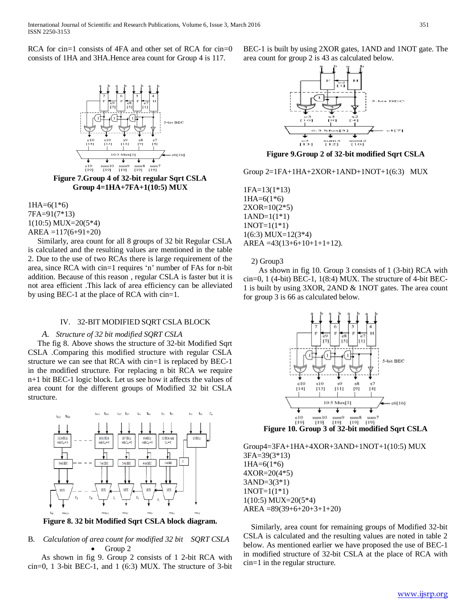RCA for cin=1 consists of 4FA and other set of RCA for cin=0 consists of 1HA and 3HA.Hence area count for Group 4 is 117.



**Figure 7.Group 4 of 32-bit regular Sqrt CSLA Group 4=1HA+7FA+1(10:5) MUX**

 $1HA=6(1*6)$ 7FA=91(7\*13) 1(10:5) MUX=20(5\*4)  $AREA = 117(6+91+20)$ 

 Similarly, area count for all 8 groups of 32 bit Regular CSLA is calculated and the resulting values are mentioned in the table 2. Due to the use of two RCAs there is large requirement of the area, since RCA with cin=1 requires 'n' number of FAs for n-bit addition. Because of this reason , regular CSLA is faster but it is not area efficient .This lack of area efficiency can be alleviated by using BEC-1 at the place of RCA with cin=1.

#### IV. 32-BIT MODIFIED SQRT CSLA BLOCK

#### *A. Structure of 32 bit modified SQRT CSLA*

 The fig 8. Above shows the structure of 32-bit Modified Sqrt CSLA .Comparing this modified structure with regular CSLA structure we can see that RCA with cin=1 is replaced by BEC-1 in the modified structure. For replacing n bit RCA we require n+1 bit BEC-1 logic block. Let us see how it affects the values of area count for the different groups of Modified 32 bit CSLA structure.



**Figure 8. 32 bit Modified Sqrt CSLA block diagram.**

# B. *Calculation of area count for modified 32 bit SQRT CSLA* • Group 2

 As shown in fig 9. Group 2 consists of 1 2-bit RCA with cin=0, 1 3-bit BEC-1, and 1 (6:3) MUX. The structure of 3-bit BEC-1 is built by using 2XOR gates, 1AND and 1NOT gate. The area count for group 2 is 43 as calculated below.



**Figure 9.Group 2 of 32-bit modified Sqrt CSLA**

Group  $2=1FA+1HA+2XOR+1AND+1NOT+1(6:3)$  MUX

1FA=13(1\*13)  $1HA=6(1*6)$ 2XOR=10(2\*5)  $1AND=1(1*1)$  $1NOT=1(1*1)$ 1(6:3) MUX=12(3\*4)  $AREA = 43(13+6+10+1+1+12).$ 

2) Group3

 As shown in fig 10. Group 3 consists of 1 (3-bit) RCA with  $cin=0$ , 1 (4-bit) BEC-1, 1(8:4) MUX. The structure of 4-bit BEC-1 is built by using 3XOR, 2AND & 1NOT gates. The area count for group 3 is 66 as calculated below.



**Figure 10. Group 3 of 32-bit modified Sqrt CSLA**

Group4=3FA+1HA+4XOR+3AND+1NOT+1(10:5) MUX 3FA=39(3\*13)  $1HA=6(1*6)$ 4XOR=20(4\*5) 3AND=3(3\*1) 1NOT=1(1\*1) 1(10:5) MUX=20(5\*4)  $AREA = 89(39+6+20+3+1+20)$ 

 Similarly, area count for remaining groups of Modified 32-bit CSLA is calculated and the resulting values are noted in table 2 below. As mentioned earlier we have proposed the use of BEC-1 in modified structure of 32-bit CSLA at the place of RCA with cin=1 in the regular structure.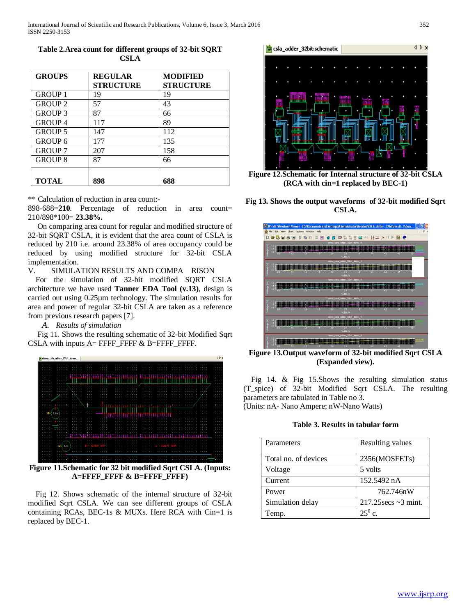| <b>GROUPS</b>  | <b>REGULAR</b>   | <b>MODIFIED</b>  |
|----------------|------------------|------------------|
|                | <b>STRUCTURE</b> | <b>STRUCTURE</b> |
| <b>GROUP 1</b> | 19               | 19               |
| <b>GROUP 2</b> | 57               | 43               |
| <b>GROUP 3</b> | 87               | 66               |
| <b>GROUP4</b>  | 117              | 89               |
| <b>GROUP 5</b> | 147              | 112              |
| <b>GROUP 6</b> | 177              | 135              |
| <b>GROUP 7</b> | 207              | 158              |
| <b>GROUP 8</b> | 87               | 66               |
|                |                  |                  |
| <b>TOTAL</b>   | 898              | 688              |

**Table 2.Area count for different groups of 32-bit SQRT CSLA**

\*\* Calculation of reduction in area count:-

898-688=**210**. Percentage of reduction in area count= 210/898\*100= **23.38%.**

 On comparing area count for regular and modified structure of 32-bit SQRT CSLA, it is evident that the area count of CSLA is reduced by 210 i.e. around 23.38% of area occupancy could be reduced by using modified structure for 32-bit CSLA implementation.

V. SIMULATION RESULTS AND COMPA RISON

 For the simulation of 32-bit modified SQRT CSLA architecture we have used **Tanner EDA Tool (v.13)**, design is carried out using 0.25µm technology. The simulation results for area and power of regular 32-bit CSLA are taken as a reference from previous research papers [7].

*A. Results of simulation*

 Fig 11. Shows the resulting schematic of 32-bit Modified Sqrt CSLA with inputs A= FFFF\_FFFF & B=FFFF\_FFFF.



**Figure 11.Schematic for 32 bit modified Sqrt CSLA. (Inputs: A=FFFF\_FFFF & B=FFFF\_FFFF)**

 Fig 12. Shows schematic of the internal structure of 32-bit modified Sqrt CSLA. We can see different groups of CSLA containing RCAs, BEC-1s & MUXs. Here RCA with Cin=1 is replaced by BEC-1.



**Figure 12.Schematic for Internal structure of 32-bit CSLA (RCA with cin=1 replaced by BEC-1)**





**Figure 13.Output waveform of 32-bit modified Sqrt CSLA (Expanded view).**

 Fig 14. & Fig 15.Shows the resulting simulation status (T\_spice) of 32-bit Modified Sqrt CSLA. The resulting parameters are tabulated in Table no 3. (Units: nA- Nano Ampere; nW-Nano Watts)

# **Table 3. Results in tabular form**

| Parameters           | Resulting values             |
|----------------------|------------------------------|
| Total no. of devices | 2356(MOSFET <sub>s</sub> )   |
| Voltage              | 5 volts                      |
| Current              | 152.5492 nA                  |
| Power                | 762.746nW                    |
| Simulation delay     | $217.25$ secs $\sim$ 3 mint. |
| Temp.                | $\mathcal{C}$                |